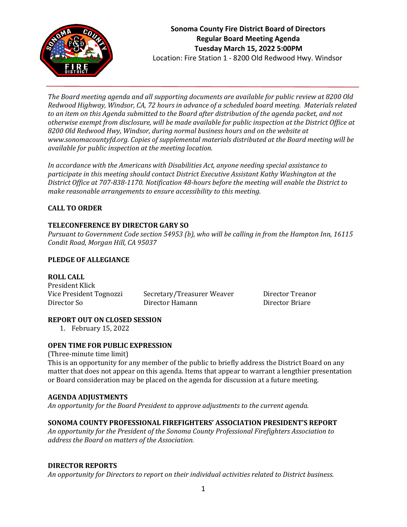

*The Board meeting agenda and all supporting documents are available for public review at 8200 Old Redwood Highway, Windsor, CA, 72 hours in advance of a scheduled board meeting. Materials related to an item on this Agenda submitted to the Board after distribution of the agenda packet, and not otherwise exempt from disclosure, will be made available for public inspection at the District Office at 8200 Old Redwood Hwy, Windsor, during normal business hours and on the website at www.sonomacountyfd.org. Copies of supplemental materials distributed at the Board meeting will be available for public inspection at the meeting location.*

*In accordance with the Americans with Disabilities Act, anyone needing special assistance to participate in this meeting should contact District Executive Assistant Kathy Washington at the District Office at 707-838-1170. Notification 48-hours before the meeting will enable the District to make reasonable arrangements to ensure accessibility to this meeting.*

## **CALL TO ORDER**

## **TELECONFERENCE BY DIRECTOR GARY SO**

*Pursuant to Government Code section 54953 (b), who will be calling in from the Hampton Inn, 16115 Condit Road, Morgan Hill, CA 95037*

### **PLEDGE OF ALLEGIANCE**

#### **ROLL CALL**

President Klick Vice President Tognozzi Secretary/Treasurer Weaver Director Treanor Director So Director Hamann Director Briare

#### **REPORT OUT ON CLOSED SESSION**

1. February 15, 2022

### **OPEN TIME FOR PUBLIC EXPRESSION**

(Three-minute time limit)

This is an opportunity for any member of the public to briefly address the District Board on any matter that does not appear on this agenda. Items that appear to warrant a lengthier presentation or Board consideration may be placed on the agenda for discussion at a future meeting.

#### **AGENDA ADJUSTMENTS**

*An opportunity for the Board President to approve adjustments to the current agenda.*

## **SONOMA COUNTY PROFESSIONAL FIREFIGHTERS' ASSOCIATION PRESIDENT'S REPORT**

*An opportunity for the President of the Sonoma County Professional Firefighters Association to address the Board on matters of the Association.*

#### **DIRECTOR REPORTS**

*An opportunity for Directors to report on their individual activities related to District business.*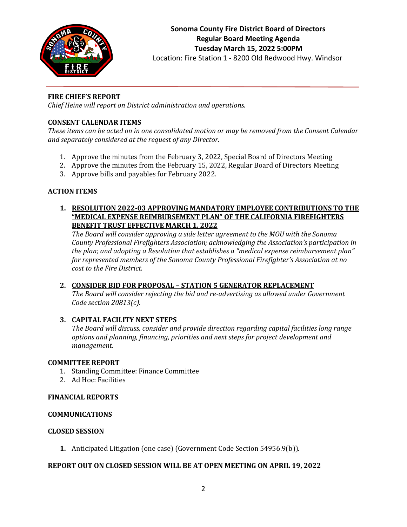

## **FIRE CHIEF'S REPORT**

*Chief Heine will report on District administration and operations.*

## **CONSENT CALENDAR ITEMS**

*These items can be acted on in one consolidated motion or may be removed from the Consent Calendar and separately considered at the request of any Director.*

- 1. Approve the minutes from the February 3, 2022, Special Board of Directors Meeting
- 2. Approve the minutes from the February 15, 2022, Regular Board of Directors Meeting
- 3. Approve bills and payables for February 2022.

## **ACTION ITEMS**

**1. RESOLUTION 2022-03 APPROVING MANDATORY EMPLOYEE CONTRIBUTIONS TO THE "MEDICAL EXPENSE REIMBURSEMENT PLAN" OF THE CALIFORNIA FIREFIGHTERS BENEFIT TRUST EFFECTIVE MARCH 1, 2022**

*The Board will consider approving a side letter agreement to the MOU with the Sonoma County Professional Firefighters Association; acknowledging the Association's participation in the plan; and adopting a Resolution that establishes a "medical expense reimbursement plan" for represented members of the Sonoma County Professional Firefighter's Association at no cost to the Fire District.*

# **2. CONSIDER BID FOR PROPOSAL – STATION 5 GENERATOR REPLACEMENT**

*The Board will consider rejecting the bid and re-advertising as allowed under Government Code section 20813(c).*

# **3. CAPITAL FACILITY NEXT STEPS**

*The Board will discuss, consider and provide direction regarding capital facilities long range options and planning, financing, priorities and next steps for project development and management.*

## **COMMITTEE REPORT**

- 1. Standing Committee: Finance Committee
- 2. Ad Hoc: Facilities

## **FINANCIAL REPORTS**

## **COMMUNICATIONS**

## **CLOSED SESSION**

**1.** Anticipated Litigation (one case) (Government Code Section 54956.9(b)).

## **REPORT OUT ON CLOSED SESSION WILL BE AT OPEN MEETING ON APRIL 19, 2022**